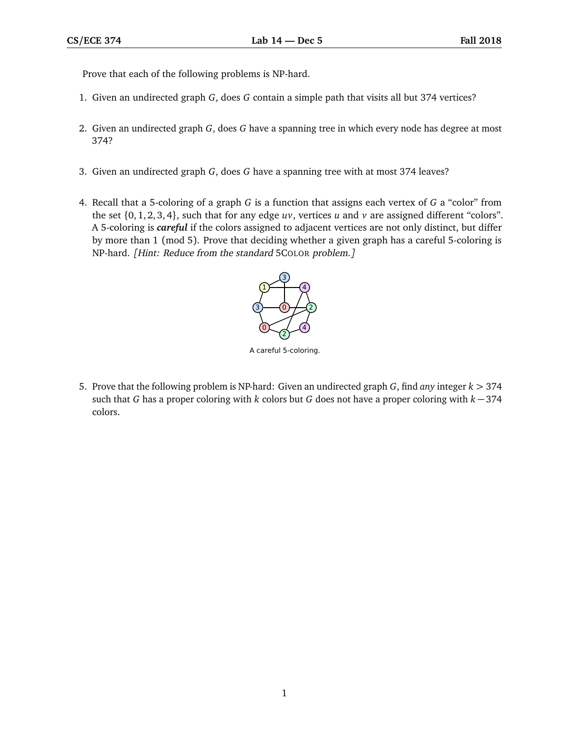Prove that each of the following problems is NP-hard.

- 1. Given an undirected graph *G*, does *G* contain a simple path that visits all but 374 vertices?
- 2. Given an undirected graph *G*, does *G* have a spanning tree in which every node has degree at most 374?
- 3. Given an undirected graph *G*, does *G* have a spanning tree with at most 374 leaves? **CS/ECE 374 Lab 13½ November 16 Fall 2016**
- 4. Recall that a 5-coloring of a graph *G* is a function that assigns each vertex of *G* a "color" from 1. Recall that a 5-coloring of a graph *G* is a function that assigns each vertex of *G* a "color" the set  $\{0, 1, 2, 3, 4\}$ , such that for any edge *uv*, vertices *u* and *v* are assigned different "colors". A 5-coloring is *careful* if the colors assigned to adjacent vertices are not only distinct, but differ by more than 1 (mod 5). Prove that deciding whether a given graph has a careful 5-coloring is NP-hard. [Hint: Reduce from the standard 5COLOR problem.] has a careful 5-coloring is NP-hard. *[Hint: Reduce from the standard 5Color problem.]*



5. Prove that the following problem is NP-hard: Given an undirected graph  $G$ , find any integer  $k > 374$ such that G has a proper coloring with  $k$  colors but G does not have a proper coloring with  $k-374$ proper coloring with *k* 374 colors. colors.